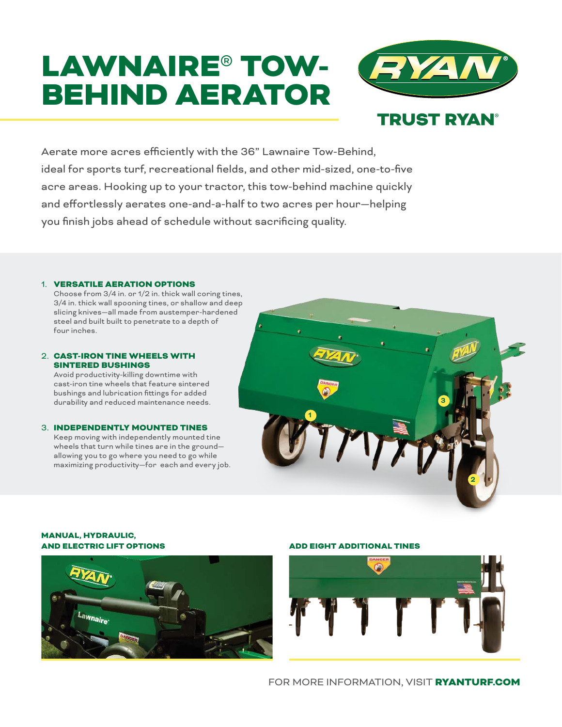# LAWNAIRE® TOW-BEHIND AERATOR



Aerate more acres efficiently with the 36" Lawnaire Tow-Behind, ideal for sports turf, recreational fields, and other mid-sized, one-to-five acre areas. Hooking up to your tractor, this tow-behind machine quickly and effortlessly aerates one-and-a-half to two acres per hour—helping you finish jobs ahead of schedule without sacrificing quality.

#### 1. VERSATILE AERATION OPTIONS

Choose from 3/4 in. or 1/2 in. thick wall coring tines, 3/4 in. thick wall spooning tines, or shallow and deep slicing knives—all made from austemper-hardened steel and built built to penetrate to a depth of four inches.

#### 2. CAST-IRON TINE WHEELS WITH SINTERED BUSHINGS

Avoid productivity-killing downtime with cast-iron tine wheels that feature sintered bushings and lubrication fittings for added durability and reduced maintenance needs.

#### 3. INDEPENDENTLY MOUNTED TINES

Keep moving with independently mounted tine wheels that turn while tines are in the ground allowing you to go where you need to go while maximizing productivity—for each and every job.



#### MANUAL, HYDRAULIC, AND ELECTRIC LIFT OPTIONS



### ADD EIGHT ADDITIONAL TINES